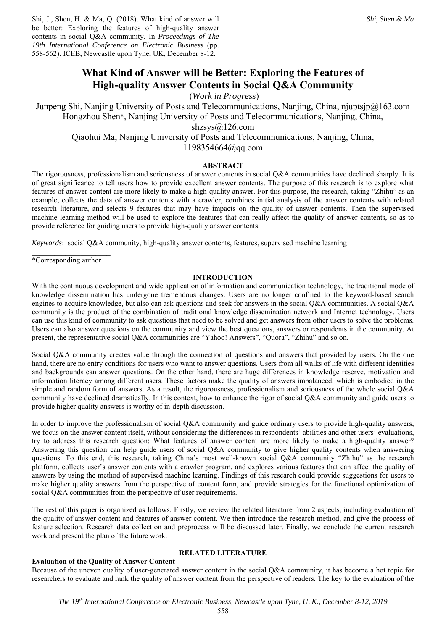# **What Kind of Answer will be Better: Exploring the Features of High-quality Answer Contents in Social Q&A Community**

(*Work in Progress*)

Junpeng Shi, Nanjing University of Posts and Telecommunications, Nanjing, China, njuptsjp@163.com Hongzhou Shen\*, Nanjing University of Posts and Telecommunications, Nanjing, China, shzsys@126.com Qiaohui Ma, Nanjing University of Posts and Telecommunications, Nanjing, China, 1198354664@qq.com

# **ABSTRACT**

The rigorousness, professionalism and seriousness of answer contents in social Q&A communities have declined sharply. It is of great significance to tell users how to provide excellent answer contents. The purpose of this research is to explore what features of answer content are more likely to make a high-quality answer. For this purpose, the research, taking "Zhihu" as an example, collects the data of answer contents with a crawler, combines initial analysis of the answer contents with related research literature, and selects 9 features that may have impacts on the quality of answer contents. Then the supervised machine learning method will be used to explore the features that can really affect the quality of answer contents, so as to provide reference for guiding users to provide high-quality answer contents.

*Keywords*: social Q&A community, high-quality answer contents, features, supervised machine learning

 $\frac{1}{2}$  ,  $\frac{1}{2}$  ,  $\frac{1}{2}$  ,  $\frac{1}{2}$  ,  $\frac{1}{2}$  ,  $\frac{1}{2}$  ,  $\frac{1}{2}$  ,  $\frac{1}{2}$  ,  $\frac{1}{2}$  ,  $\frac{1}{2}$ \*Corresponding author

## **INTRODUCTION**

With the continuous development and wide application of information and communication technology, the traditional mode of knowledge dissemination has undergone tremendous changes. Users are no longer confined to the keyword-based search engines to acquire knowledge, but also can ask questions and seek for answers in the social Q&A communities. A social Q&A community is the product of the combination of traditional knowledge dissemination network and Internet technology. Users can use this kind of community to ask questions that need to be solved and get answers from other users to solve the problems. Users can also answer questions on the community and view the best questions, answers or respondents in the community. At present, the representative social Q&A communities are "Yahoo! Answers", "Quora", "Zhihu" and so on.

Social Q&A community creates value through the connection of questions and answers that provided by users. On the one hand, there are no entry conditions for users who want to answer questions. Users from all walks of life with different identities and backgrounds can answer questions. On the other hand, there are huge differences in knowledge reserve, motivation and information literacy among different users. These factors make the quality of answers imbalanced, which is embodied in the simple and random form of answers. As a result, the rigorousness, professionalism and seriousness of the whole social Q&A community have declined dramatically. In this context, how to enhance the rigor of social Q&A community and guide users to provide higher quality answers is worthy of in-depth discussion.

In order to improve the professionalism of social Q&A community and guide ordinary users to provide high-quality answers, we focus on the answer content itself, without considering the differences in respondents' abilities and other users' evaluations, try to address this research question: What features of answer content are more likely to make a high-quality answer? Answering this question can help guide users of social Q&A community to give higher quality contents when answering questions. To this end, this research, taking China's most well-known social Q&A community "Zhihu" as the research platform, collects user's answer contents with a crawler program, and explores various features that can affect the quality of answers by using the method of supervised machine learning. Findings of this research could provide suggestions for users to make higher quality answers from the perspective of content form, and provide strategies for the functional optimization of social Q&A communities from the perspective of user requirements.

The rest of this paper is organized as follows. Firstly, we review the related literature from 2 aspects, including evaluation of the quality of answer content and features of answer content. We then introduce the research method, and give the process of feature selection. Research data collection and preprocess will be discussed later. Finally, we conclude the current research work and present the plan of the future work.

# **Evaluation of the Quality of Answer Content**

Because of the uneven quality of user-generated answer content in the social Q&A community, it has become a hot topic for researchers to evaluate and rank the quality of answer content from the perspective of readers. The key to the evaluation of the

**RELATED LITERATURE**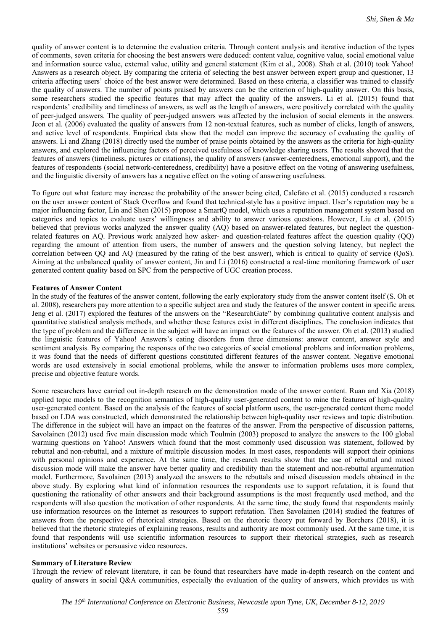quality of answer content is to determine the evaluation criteria. Through content analysis and iterative induction of the types of comments, seven criteria for choosing the best answers were deduced: content value, cognitive value, social emotional value and information source value, external value, utility and general statement (Kim et al., 2008). Shah et al. (2010) took Yahoo! Answers as a research object. By comparing the criteria of selecting the best answer between expert group and questioner, 13 criteria affecting users' choice of the best answer were determined. Based on these criteria, a classifier was trained to classify the quality of answers. The number of points praised by answers can be the criterion of high-quality answer. On this basis, some researchers studied the specific features that may affect the quality of the answers. Li et al. (2015) found that respondents' credibility and timeliness of answers, as well as the length of answers, were positively correlated with the quality of peer-judged answers. The quality of peer-judged answers was affected by the inclusion of social elements in the answers. Jeon et al. (2006) evaluated the quality of answers from 12 non-textual features, such as number of clicks, length of answers, and active level of respondents. Empirical data show that the model can improve the accuracy of evaluating the quality of answers. Li and Zhang (2018) directly used the number of praise points obtained by the answers as the criteria for high-quality answers, and explored the influencing factors of perceived usefulness of knowledge sharing users. The results showed that the features of answers (timeliness, pictures or citations), the quality of answers (answer-centeredness, emotional support), and the features of respondents (social network-centeredness, credibility) have a positive effect on the voting of answering usefulness, and the linguistic diversity of answers has a negative effect on the voting of answering usefulness.

To figure out what feature may increase the probability of the answer being cited, Calefato et al. (2015) conducted a research on the user answer content of Stack Overflow and found that technical-style has a positive impact. User's reputation may be a major influencing factor, Lin and Shen (2015) propose a SmartQ model, which uses a reputation management system based on categories and topics to evaluate users' willingness and ability to answer various questions. However, Liu et al. (2015) believed that previous works analyzed the answer quality (AQ) based on answer-related features, but neglect the questionrelated features on AQ. Previous work analyzed how asker- and question-related features affect the question quality (QQ) regarding the amount of attention from users, the number of answers and the question solving latency, but neglect the correlation between QQ and AQ (measured by the rating of the best answer), which is critical to quality of service (QoS). Aiming at the unbalanced quality of answer content, Jin and Li (2016) constructed a real-time monitoring framework of user generated content quality based on SPC from the perspective of UGC creation process.

## **Features of Answer Content**

In the study of the features of the answer content, following the early exploratory study from the answer content itself (S. Oh et al. 2008), researchers pay more attention to a specific subject area and study the features of the answer content in specific areas. Jeng et al. (2017) explored the features of the answers on the "ResearchGate" by combining qualitative content analysis and quantitative statistical analysis methods, and whether these features exist in different disciplines. The conclusion indicates that the type of problem and the difference in the subject will have an impact on the features of the answer. Oh et al. (2013) studied the linguistic features of Yahoo! Answers's eating disorders from three dimensions: answer content, answer style and sentiment analysis. By comparing the responses of the two categories of social emotional problems and information problems, it was found that the needs of different questions constituted different features of the answer content. Negative emotional words are used extensively in social emotional problems, while the answer to information problems uses more complex, precise and objective feature words.

Some researchers have carried out in-depth research on the demonstration mode of the answer content. Ruan and Xia (2018) applied topic models to the recognition semantics of high-quality user-generated content to mine the features of high-quality user-generated content. Based on the analysis of the features of social platform users, the user-generated content theme model based on LDA was constructed, which demonstrated the relationship between high-quality user reviews and topic distribution. The difference in the subject will have an impact on the features of the answer. From the perspective of discussion patterns, Savolainen (2012) used five main discussion mode which Toulmin (2003) proposed to analyze the answers to the 100 global warming questions on Yahoo! Answers which found that the most commonly used discussion was statement, followed by rebuttal and non-rebuttal, and a mixture of multiple discussion modes. In most cases, respondents will support their opinions with personal opinions and experience. At the same time, the research results show that the use of rebuttal and mixed discussion mode will make the answer have better quality and credibility than the statement and non-rebuttal argumentation model. Furthermore, Savolainen (2013) analyzed the answers to the rebuttals and mixed discussion models obtained in the above study. By exploring what kind of information resources the respondents use to support refutation, it is found that questioning the rationality of other answers and their background assumptions is the most frequently used method, and the respondents will also question the motivation of other respondents. At the same time, the study found that respondents mainly use information resources on the Internet as resources to support refutation. Then Savolainen (2014) studied the features of answers from the perspective of rhetorical strategies. Based on the rhetoric theory put forward by Borchers (2018), it is believed that the rhetoric strategies of explaining reasons, results and authority are most commonly used. At the same time, it is found that respondents will use scientific information resources to support their rhetorical strategies, such as research institutions' websites or persuasive video resources.

#### **Summary of Literature Review**

Through the review of relevant literature, it can be found that researchers have made in-depth research on the content and quality of answers in social Q&A communities, especially the evaluation of the quality of answers, which provides us with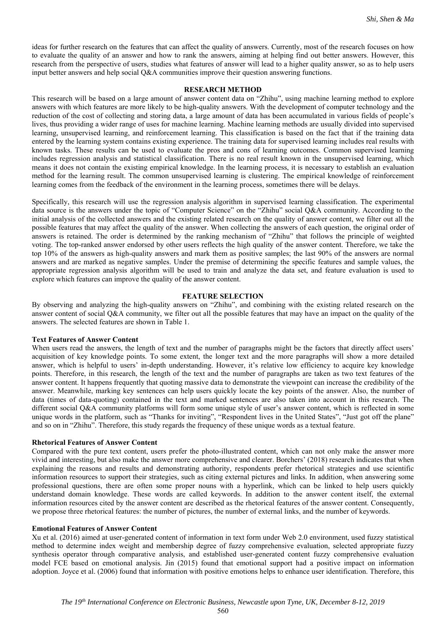ideas for further research on the features that can affect the quality of answers. Currently, most of the research focuses on how to evaluate the quality of an answer and how to rank the answers, aiming at helping find out better answers. However, this research from the perspective of users, studies what features of answer will lead to a higher quality answer, so as to help users input better answers and help social Q&A communities improve their question answering functions.

## **RESEARCH METHOD**

This research will be based on a large amount of answer content data on "Zhihu", using machine learning method to explore answers with which features are more likely to be high-quality answers. With the development of computer technology and the reduction of the cost of collecting and storing data, a large amount of data has been accumulated in various fields of people's lives, thus providing a wider range of uses for machine learning. Machine learning methods are usually divided into supervised learning, unsupervised learning, and reinforcement learning. This classification is based on the fact that if the training data entered by the learning system contains existing experience. The training data for supervised learning includes real results with known tasks. These results can be used to evaluate the pros and cons of learning outcomes. Common supervised learning includes regression analysis and statistical classification. There is no real result known in the unsupervised learning, which means it does not contain the existing empirical knowledge. In the learning process, it is necessary to establish an evaluation method for the learning result. The common unsupervised learning is clustering. The empirical knowledge of reinforcement learning comes from the feedback of the environment in the learning process, sometimes there will be delays.

Specifically, this research will use the regression analysis algorithm in supervised learning classification. The experimental data source is the answers under the topic of "Computer Science" on the "Zhihu" social Q&A community. According to the initial analysis of the collected answers and the existing related research on the quality of answer content, we filter out all the possible features that may affect the quality of the answer. When collecting the answers of each question, the original order of answers is retained. The order is determined by the ranking mechanism of "Zhihu" that follows the principle of weighted voting. The top-ranked answer endorsed by other users reflects the high quality of the answer content. Therefore, we take the top 10% of the answers as high-quality answers and mark them as positive samples; the last 90% of the answers are normal answers and are marked as negative samples. Under the premise of determining the specific features and sample values, the appropriate regression analysis algorithm will be used to train and analyze the data set, and feature evaluation is used to explore which features can improve the quality of the answer content.

## **FEATURE SELECTION**

By observing and analyzing the high-quality answers on "Zhihu", and combining with the existing related research on the answer content of social Q&A community, we filter out all the possible features that may have an impact on the quality of the answers. The selected features are shown in Table 1.

## **Text Features of Answer Content**

When users read the answers, the length of text and the number of paragraphs might be the factors that directly affect users' acquisition of key knowledge points. To some extent, the longer text and the more paragraphs will show a more detailed answer, which is helpful to users' in-depth understanding. However, it's relative low efficiency to acquire key knowledge points. Therefore, in this research, the length of the text and the number of paragraphs are taken as two text features of the answer content. It happens frequently that quoting massive data to demonstrate the viewpoint can increase the credibility of the answer. Meanwhile, marking key sentences can help users quickly locate the key points of the answer. Also, the number of data (times of data-quoting) contained in the text and marked sentences are also taken into account in this research. The different social Q&A community platforms will form some unique style of user's answer content, which is reflected in some unique words in the platform, such as "Thanks for inviting", "Respondent lives in the United States", "Just got off the plane" and so on in "Zhihu". Therefore, this study regards the frequency of these unique words as a textual feature.

## **Rhetorical Features of Answer Content**

Compared with the pure text content, users prefer the photo-illustrated content, which can not only make the answer more vivid and interesting, but also make the answer more comprehensive and clearer. Borchers' (2018) research indicates that when explaining the reasons and results and demonstrating authority, respondents prefer rhetorical strategies and use scientific information resources to support their strategies, such as citing external pictures and links. In addition, when answering some professional questions, there are often some proper nouns with a hyperlink, which can be linked to help users quickly understand domain knowledge. These words are called keywords. In addition to the answer content itself, the external information resources cited by the answer content are described as the rhetorical features of the answer content. Consequently, we propose three rhetorical features: the number of pictures, the number of external links, and the number of keywords.

#### **Emotional Features of Answer Content**

Xu et al. (2016) aimed at user-generated content of information in text form under Web 2.0 environment, used fuzzy statistical method to determine index weight and membership degree of fuzzy comprehensive evaluation, selected appropriate fuzzy synthesis operator through comparative analysis, and established user-generated content fuzzy comprehensive evaluation model FCE based on emotional analysis. Jin (2015) found that emotional support had a positive impact on information adoption. Joyce et al. (2006) found that information with positive emotions helps to enhance user identification. Therefore, this

560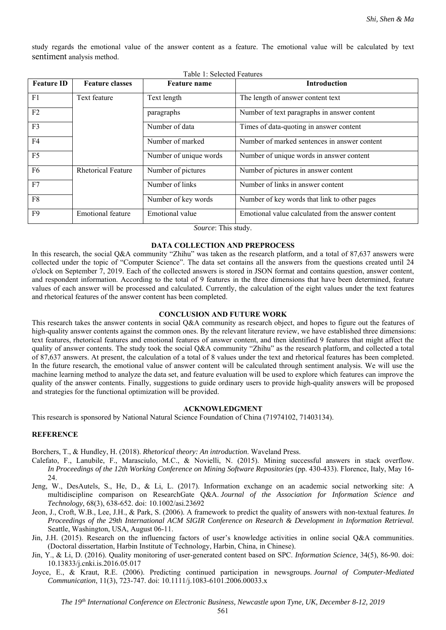study regards the emotional value of the answer content as a feature. The emotional value will be calculated by text sentiment analysis method.

| Table 1: Selected Features |                           |                        |                                                    |
|----------------------------|---------------------------|------------------------|----------------------------------------------------|
| <b>Feature ID</b>          | <b>Feature classes</b>    | <b>Feature name</b>    | Introduction                                       |
| F1                         | Text feature              | Text length            | The length of answer content text                  |
| F2                         |                           | paragraphs             | Number of text paragraphs in answer content        |
| F <sub>3</sub>             |                           | Number of data         | Times of data-quoting in answer content            |
| F4                         |                           | Number of marked       | Number of marked sentences in answer content       |
| F <sub>5</sub>             |                           | Number of unique words | Number of unique words in answer content           |
| F <sub>6</sub>             | <b>Rhetorical Feature</b> | Number of pictures     | Number of pictures in answer content               |
| F7                         |                           | Number of links        | Number of links in answer content                  |
| F8                         |                           | Number of key words    | Number of key words that link to other pages       |
| F <sub>9</sub>             | <b>Emotional feature</b>  | Emotional value        | Emotional value calculated from the answer content |

*Source*: This study.

## **DATA COLLECTION AND PREPROCESS**

In this research, the social Q&A community "Zhihu" was taken as the research platform, and a total of 87,637 answers were collected under the topic of "Computer Science". The data set contains all the answers from the questions created until 24 o'clock on September 7, 2019. Each of the collected answers is stored in JSON format and contains question, answer content, and respondent information. According to the total of 9 features in the three dimensions that have been determined, feature values of each answer will be processed and calculated. Currently, the calculation of the eight values under the text features and rhetorical features of the answer content has been completed.

## **CONCLUSION AND FUTURE WORK**

This research takes the answer contents in social Q&A community as research object, and hopes to figure out the features of high-quality answer contents against the common ones. By the relevant literature review, we have established three dimensions: text features, rhetorical features and emotional features of answer content, and then identified 9 features that might affect the quality of answer contents. The study took the social Q&A community "Zhihu" as the research platform, and collected a total of 87,637 answers. At present, the calculation of a total of 8 values under the text and rhetorical features has been completed. In the future research, the emotional value of answer content will be calculated through sentiment analysis. We will use the machine learning method to analyze the data set, and feature evaluation will be used to explore which features can improve the quality of the answer contents. Finally, suggestions to guide ordinary users to provide high-quality answers will be proposed and strategies for the functional optimization will be provided.

#### **ACKNOWLEDGMENT**

This research is sponsored by National Natural Science Foundation of China (71974102, 71403134).

## **REFERENCE**

Borchers, T., & Hundley, H. (2018). *Rhetorical theory: An introduction*. Waveland Press.

- Calefato, F., Lanubile, F., Marasciulo, M.C., & Novielli, N. (2015). Mining successful answers in stack overflow. In Proceedings of the 12th Working Conference on Mining Software Repositories (pp. 430-433). Florence, Italy, May 16-24.
- Jeng, W., DesAutels, S., He, D., & Li, L. (2017). Information exchange on an academic social networking site: A multidiscipline comparison on ResearchGate Q&A. *Journal of the Association for Information Science and Technology,* 68(3), 638-652. doi: 10.1002/asi.23692
- Jeon, J., Croft, W.B., Lee, J.H., & Park, S. (2006). A framework to predict the quality of answers with non-textual features. *In Proceedings of the 29th International ACM SIGIR Conference on Research & Development in Information Retrieval.* Seattle, Washington, USA, August 06-11.
- Jin, J.H. (2015). Research on the influencing factors of user's knowledge activities in online social Q&A communities. (Doctoral dissertation, Harbin Institute of Technology, Harbin, China, in Chinese).
- Jin, Y., & Li, D. (2016). Quality monitoring of user-generated content based on SPC. *Information Science*, 34(5), 86-90. doi: 10.13833/j.cnki.is.2016.05.017
- Joyce, E., & Kraut, R.E. (2006). Predicting continued participation in newsgroups. *Journal of Computer-Mediated Communication*, 11(3), 723-747. doi: 10.1111/j.1083-6101.2006.00033.x